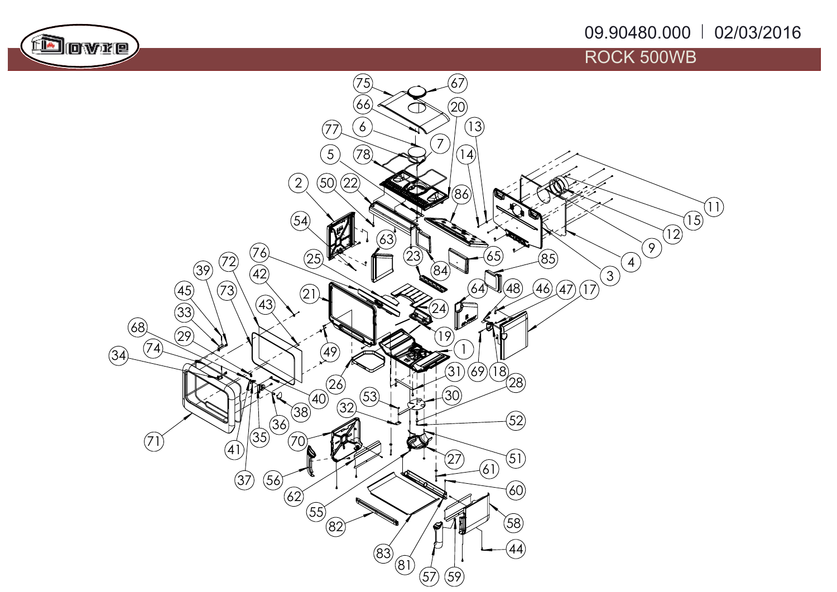## 09.90480.000 <mark>02/03/2016</mark>



## ROCK 500WB

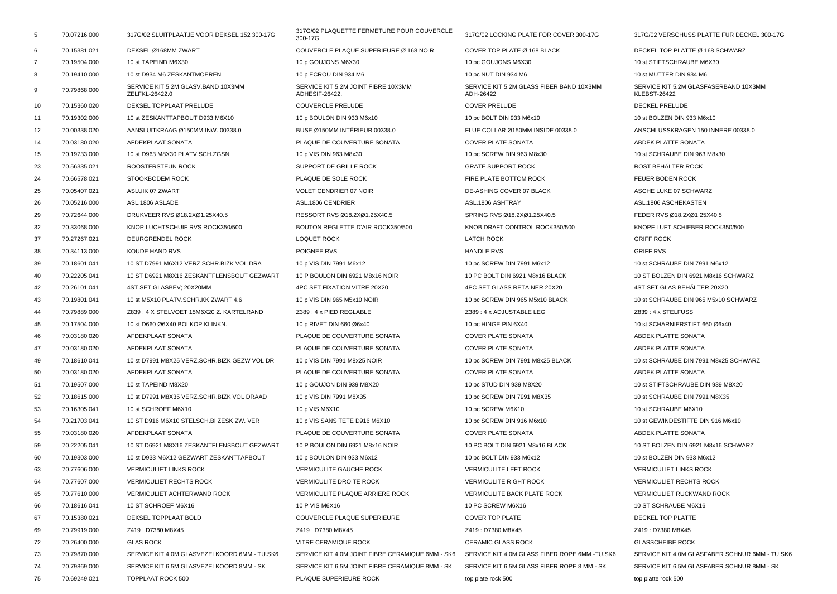| 5              | 70.07216.000 | 317G/02 SLUITPLAATJE VOOR DEKSEL 152 300-17G         | 317G/02 PLAQUETTE FERMETURE POUR COUVERCLE<br>300-17G | 317G/02 LOCKING PLATE FOR COVER 300-17G               | 317G/02 VERSCHUSS PLATTE FÜR DECKEL 300-17G                  |
|----------------|--------------|------------------------------------------------------|-------------------------------------------------------|-------------------------------------------------------|--------------------------------------------------------------|
| 6              | 70.15381.021 | DEKSEL Ø168MM ZWART                                  | COUVERCLE PLAQUE SUPERIEURE Ø 168 NOIR                | COVER TOP PLATE Ø 168 BLACK                           | DECKEL TOP PLATTE Ø 168 SCHWARZ                              |
| $\overline{7}$ | 70.19504.000 | 10 st TAPEIND M6X30                                  | 10 p GOUJONS M6X30                                    | 10 pc GOUJONS M6X30                                   | 10 st STIFTSCHRAUBE M6X30                                    |
| 8              | 70.19410.000 | 10 st D934 M6 ZESKANTMOEREN                          | 10 p ECROU DIN 934 M6                                 | 10 pc NUT DIN 934 M6                                  | 10 st MUTTER DIN 934 M6                                      |
| 9              | 70.79868.000 | SERVICE KIT 5.2M GLASV.BAND 10X3MM<br>ZELFKL-26422.0 | SERVICE KIT 5.2M JOINT FIBRE 10X3MM<br>ADHÉSIF-26422. | SERVICE KIT 5.2M GLASS FIBER BAND 10X3MM<br>ADH-26422 | SERVICE KIT 5.2M GLASFASERBAND 10X3MM<br><b>KLEBST-26422</b> |
| 10             | 70.15360.020 | DEKSEL TOPPLAAT PRELUDE                              | <b>COUVERCLE PRELUDE</b>                              | <b>COVER PRELUDE</b>                                  | DECKEL PRELUDE                                               |
| 11             | 70.19302.000 | 10 st ZESKANTTAPBOUT D933 M6X10                      | 10 p BOULON DIN 933 M6x10                             | 10 pc BOLT DIN 933 M6x10                              | 10 st BOLZEN DIN 933 M6x10                                   |
| 12             | 70.00338.020 | AANSLUITKRAAG Ø150MM INW. 00338.0                    | BUSE Ø150MM INTÉRIEUR 00338.0                         | FLUE COLLAR Ø150MM INSIDE 00338.0                     | ANSCHLUSSKRAGEN 150 INNERE 00338.0                           |
| 14             | 70.03180.020 | AFDEKPLAAT SONATA                                    | PLAQUE DE COUVERTURE SONATA                           | COVER PLATE SONATA                                    | ABDEK PLATTE SONATA                                          |
| 15             | 70.19733.000 | 10 st D963 M8X30 PLATV.SCH.ZGSN                      | 10 p VIS DIN 963 M8x30                                | 10 pc SCREW DIN 963 M8x30                             | 10 st SCHRAUBE DIN 963 M8x30                                 |
| 23             | 70.56335.021 | ROOSTERSTEUN ROCK                                    | SUPPORT DE GRILLE ROCK                                | <b>GRATE SUPPORT ROCK</b>                             | ROST BEHÄLTER ROCK                                           |
| 24             | 70.66578.021 | STOOKBODEM ROCK                                      | PLAQUE DE SOLE ROCK                                   | FIRE PLATE BOTTOM ROCK                                | FEUER BODEN ROCK                                             |
| 25             | 70.05407.021 | <b>ASLUIK 07 ZWART</b>                               | VOLET CENDRIER 07 NOIR                                | DE-ASHING COVER 07 BLACK                              | ASCHE LUKE 07 SCHWARZ                                        |
| 26             | 70.05216.000 | ASL.1806 ASLADE                                      | ASL.1806 CENDRIER                                     | ASL.1806 ASHTRAY                                      | ASL.1806 ASCHEKASTEN                                         |
| 29             | 70.72644.000 | DRUKVEER RVS Ø18.2XØ1.25X40.5                        | RESSORT RVS Ø18.2XØ1.25X40.5                          | SPRING RVS Ø18.2XØ1.25X40.5                           | FEDER RVS Ø18.2XØ1.25X40.5                                   |
| 32             | 70.33068.000 | KNOP LUCHTSCHUIF RVS ROCK350/500                     | BOUTON REGLETTE D'AIR ROCK350/500                     | KNOB DRAFT CONTROL ROCK350/500                        | KNOPF LUFT SCHIEBER ROCK350/500                              |
| 37             | 70.27267.021 | DEURGRENDEL ROCK                                     | <b>LOQUET ROCK</b>                                    | <b>LATCH ROCK</b>                                     | <b>GRIFF ROCK</b>                                            |
| 38             | 70.34113.000 | <b>KOUDE HAND RVS</b>                                | POIGNEE RVS                                           | <b>HANDLE RVS</b>                                     | <b>GRIFF RVS</b>                                             |
| 39             | 70.18601.041 | 10 ST D7991 M6X12 VERZ.SCHR.BIZK VOL DRA             | 10 p VIS DIN 7991 M6x12                               | 10 pc SCREW DIN 7991 M6x12                            | 10 st SCHRAUBE DIN 7991 M6x12                                |
| 40             | 70.22205.041 | 10 ST D6921 M8X16 ZESKANTFLENSBOUT GEZWART           | 10 P BOULON DIN 6921 M8x16 NOIR                       | 10 PC BOLT DIN 6921 M8x16 BLACK                       | 10 ST BOLZEN DIN 6921 M8x16 SCHWARZ                          |
| 42             | 70.26101.041 | 4ST SET GLASBEV; 20X20MM                             | 4PC SET FIXATION VITRE 20X20                          | 4PC SET GLASS RETAINER 20X20                          | 4ST SET GLAS BEHÄLTER 20X20                                  |
| 43             | 70.19801.041 | 10 st M5X10 PLATV.SCHR.KK ZWART 4.6                  | 10 p VIS DIN 965 M5x10 NOIR                           | 10 pc SCREW DIN 965 M5x10 BLACK                       | 10 st SCHRAUBE DIN 965 M5x10 SCHWARZ                         |
| 44             | 70.79889.000 | Z839: 4 X STELVOET 15M6X20 Z. KARTELRAND             | Z389: 4 x PIED REGLABLE                               | Z389: 4 x ADJUSTABLE LEG                              | Z839: 4 x STELFUSS                                           |
| 45             | 70.17504.000 | 10 st D660 Ø6X40 BOLKOP KLINKN.                      | 10 p RIVET DIN 660 Ø6x40                              | 10 pc HINGE PIN 6X40                                  | 10 st SCHARNIERSTIFT 660 Ø6x40                               |
| 46             | 70.03180.020 | AFDEKPLAAT SONATA                                    | PLAQUE DE COUVERTURE SONATA                           | <b>COVER PLATE SONATA</b>                             | ABDEK PLATTE SONATA                                          |
| 47             | 70.03180.020 | AFDEKPLAAT SONATA                                    | PLAQUE DE COUVERTURE SONATA                           | <b>COVER PLATE SONATA</b>                             | ABDEK PLATTE SONATA                                          |
| 49             | 70.18610.041 | 10 st D7991 M8X25 VERZ.SCHR.BIZK GEZW VOL DR         | 10 p VIS DIN 7991 M8x25 NOIR                          | 10 pc SCREW DIN 7991 M8x25 BLACK                      | 10 st SCHRAUBE DIN 7991 M8x25 SCHWARZ                        |
| 50             | 70.03180.020 | AFDEKPLAAT SONATA                                    | PLAQUE DE COUVERTURE SONATA                           | <b>COVER PLATE SONATA</b>                             | ABDEK PLATTE SONATA                                          |
| 51             | 70.19507.000 | 10 st TAPEIND M8X20                                  | 10 p GOUJON DIN 939 M8X20                             | 10 pc STUD DIN 939 M8X20                              | 10 st STIFTSCHRAUBE DIN 939 M8X20                            |
| 52             | 70.18615.000 | 10 st D7991 M8X35 VERZ.SCHR.BIZK VOL DRAAD           | 10 p VIS DIN 7991 M8X35                               | 10 pc SCREW DIN 7991 M8X35                            | 10 st SCHRAUBE DIN 7991 M8X35                                |
| 53             | 70.16305.041 | 10 st SCHROEF M6X10                                  | 10 p VIS M6X10                                        | 10 pc SCREW M6X10                                     | 10 st SCHRAUBE M6X10                                         |
| 54             | 70.21703.041 | 10 ST D916 M6X10 STELSCH.BI ZESK ZW. VER             | 10 p VIS SANS TETE D916 M6X10                         | 10 pc SCREW DIN 916 M6x10                             | 10 st GEWINDESTIFTE DIN 916 M6x10                            |
| 55             | 70.03180.020 | AFDEKPLAAT SONATA                                    | PLAQUE DE COUVERTURE SONATA                           | <b>COVER PLATE SONATA</b>                             | ABDEK PLATTE SONATA                                          |
| 59             | 70.22205.041 | 10 ST D6921 M8X16 ZESKANTFLENSBOUT GEZWART           | 10 P BOULON DIN 6921 M8x16 NOIR                       | 10 PC BOLT DIN 6921 M8x16 BLACK                       | 10 ST BOLZEN DIN 6921 M8x16 SCHWARZ                          |
| 60             | 70.19303.000 | 10 st D933 M6X12 GEZWART ZESKANTTAPBOUT              | 10 p BOULON DIN 933 M6x12                             | 10 pc BOLT DIN 933 M6x12                              | 10 st BOLZEN DIN 933 M6x12                                   |
| 63             | 70.77606.000 | <b>VERMICULIET LINKS ROCK</b>                        | <b>VERMICULITE GAUCHE ROCK</b>                        | <b>VERMICULITE LEFT ROCK</b>                          | <b>VERMICULIET LINKS ROCK</b>                                |
| 64             | 70.77607.000 | <b>VERMICULIET RECHTS ROCK</b>                       | <b>VERMICULITE DROITE ROCK</b>                        | <b>VERMICULITE RIGHT ROCK</b>                         | <b>VERMICULIET RECHTS ROCK</b>                               |
| 65             | 70.77610.000 | VERMICULIET ACHTERWAND ROCK                          | VERMICULITE PLAQUE ARRIERE ROCK                       | VERMICULITE BACK PLATE ROCK                           | VERMICULIET RUCKWAND ROCK                                    |
| 66             | 70.18616.041 | 10 ST SCHROEF M6X16                                  | 10 P VIS M6X16                                        | 10 PC SCREW M6X16                                     | 10 ST SCHRAUBE M6X16                                         |
| 67             | 70.15380.021 | DEKSEL TOPPLAAT BOLD                                 | COUVERCLE PLAQUE SUPERIEURE                           | <b>COVER TOP PLATE</b>                                | DECKEL TOP PLATTE                                            |
| 69             | 70.79919.000 | Z419: D7380 M8X45                                    | Z419: D7380 M8X45                                     | Z419: D7380 M8X45                                     | Z419: D7380 M8X45                                            |
| 72             | 70.26400.000 | <b>GLAS ROCK</b>                                     | VITRE CERAMIQUE ROCK                                  | <b>CERAMIC GLASS ROCK</b>                             | <b>GLASSCHEIBE ROCK</b>                                      |
| 73             | 70.79870.000 | SERVICE KIT 4.0M GLASVEZELKOORD 6MM - TU.SK6         | SERVICE KIT 4.0M JOINT FIBRE CERAMIQUE 6MM - SK6      | SERVICE KIT 4.0M GLASS FIBER ROPE 6MM -TU.SK6         | SERVICE KIT 4.0M GLASFABER SCHNUR 6MM - TU.SK6               |
| 74             | 70.79869.000 | SERVICE KIT 6.5M GLASVEZELKOORD 8MM - SK             | SERVICE KIT 6.5M JOINT FIBRE CERAMIQUE 8MM - SK       | SERVICE KIT 6.5M GLASS FIBER ROPE 8 MM - SK           | SERVICE KIT 6.5M GLASFABER SCHNUR 8MM - SK                   |
| 75             | 70.69249.021 | TOPPLAAT ROCK 500                                    | PLAQUE SUPERIEURE ROCK                                | top plate rock 500                                    | top platte rock 500                                          |